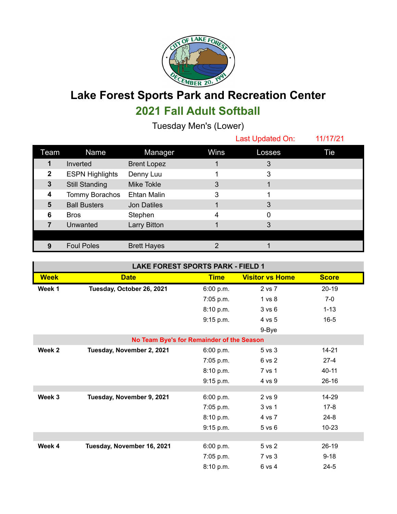

## **Lake Forest Sports Park and Recreation Center 2021 Fall Adult Softball**

Tuesday Men's (Lower)

|              |                        |                     |      | Last Updated On: | 11/17/21 |
|--------------|------------------------|---------------------|------|------------------|----------|
| Team         | Name                   | Manager             | Wins | Losses           | Tie      |
|              | Inverted               | <b>Brent Lopez</b>  |      | 3                |          |
| $\mathbf{2}$ | <b>ESPN Highlights</b> | Denny Luu           |      | 3                |          |
| 3            | <b>Still Standing</b>  | Mike Tokle          | 3    |                  |          |
| 4            | Tommy Borachos         | <b>Ehtan Malin</b>  | 3    |                  |          |
| 5            | <b>Ball Busters</b>    | <b>Jon Datiles</b>  |      | 3                |          |
| 6            | <b>Bros</b>            | Stephen             | 4    | 0                |          |
|              | Unwanted               | <b>Larry Bitton</b> |      | 3                |          |
|              |                        |                     |      |                  |          |
| 9            | <b>Foul Poles</b>      | <b>Brett Hayes</b>  | າ    |                  |          |

| <b>LAKE FOREST SPORTS PARK - FIELD 1</b>  |                            |             |                        |              |  |  |  |  |
|-------------------------------------------|----------------------------|-------------|------------------------|--------------|--|--|--|--|
| <b>Week</b>                               | <b>Date</b>                | <b>Time</b> | <b>Visitor vs Home</b> | <b>Score</b> |  |  |  |  |
| Week 1                                    | Tuesday, October 26, 2021  | 6:00 p.m.   | 2 vs 7                 | $20-19$      |  |  |  |  |
|                                           |                            | 7:05 p.m.   | 1 vs 8                 | $7-0$        |  |  |  |  |
|                                           |                            | 8:10 p.m.   | 3 v s 6                | $1 - 13$     |  |  |  |  |
|                                           |                            | 9:15 p.m.   | 4 vs 5                 | $16 - 5$     |  |  |  |  |
|                                           |                            |             | 9-Bye                  |              |  |  |  |  |
| No Team Bye's for Remainder of the Season |                            |             |                        |              |  |  |  |  |
| Week 2                                    | Tuesday, November 2, 2021  | 6:00 p.m.   | 5 vs 3                 | $14 - 21$    |  |  |  |  |
|                                           |                            | 7:05 p.m.   | 6 vs 2                 | $27 - 4$     |  |  |  |  |
|                                           |                            | 8:10 p.m.   | 7 vs 1                 | $40 - 11$    |  |  |  |  |
|                                           |                            | 9:15 p.m.   | 4 vs 9                 | $26-16$      |  |  |  |  |
|                                           |                            |             |                        |              |  |  |  |  |
| Week 3                                    | Tuesday, November 9, 2021  | 6:00 p.m.   | 2 vs 9                 | 14-29        |  |  |  |  |
|                                           |                            | 7:05 p.m.   | 3 vs 1                 | $17-8$       |  |  |  |  |
|                                           |                            | 8:10 p.m.   | 4 vs 7                 | $24 - 8$     |  |  |  |  |
|                                           |                            | 9:15 p.m.   | $5$ vs $6$             | $10 - 23$    |  |  |  |  |
|                                           |                            |             |                        |              |  |  |  |  |
| Week 4                                    | Tuesday, November 16, 2021 | 6:00 p.m.   | 5 vs 2                 | $26-19$      |  |  |  |  |
|                                           |                            | 7:05 p.m.   | 7 vs 3                 | $9 - 18$     |  |  |  |  |
|                                           |                            | 8:10 p.m.   | 6 vs 4                 | $24 - 5$     |  |  |  |  |